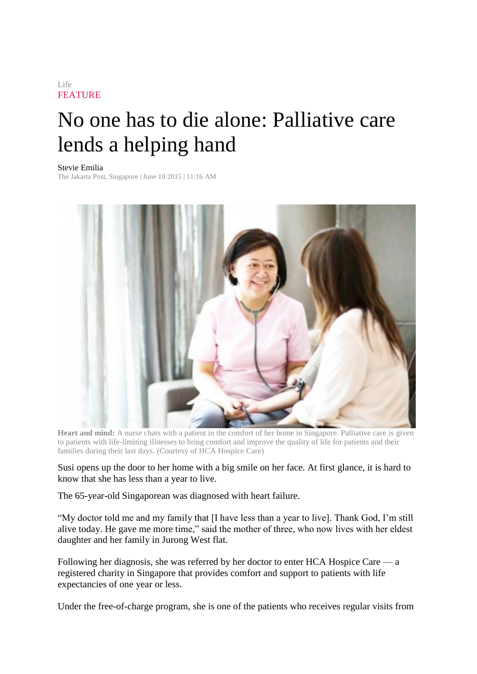## Life **FEATURE**

## No one has to die alone: Palliative care lends a helping hand

## Stevie Emilia

The Jakarta Post, Singapore | June 10 2015 | 11:16 AM



**Heart and mind:** A nurse chats with a patient in the comfort of her home in Singapore. Palliative care is given to patients with life-limiting illnesses to bring comfort and improve the quality of life for patients and their families during their last days. (Courtesy of HCA Hospice Care)

Susi opens up the door to her home with a big smile on her face. At first glance, it is hard to know that she has less than a year to live.

The 65-year-old Singaporean was diagnosed with heart failure.

"My doctor told me and my family that [I have less than a year to live]. Thank God, I'm still alive today. He gave me more time," said the mother of three, who now lives with her eldest daughter and her family in Jurong West flat.

Following her diagnosis, she was referred by her doctor to enter HCA Hospice Care — a registered charity in Singapore that provides comfort and support to patients with life expectancies of one year or less.

Under the free-of-charge program, she is one of the patients who receives regular visits from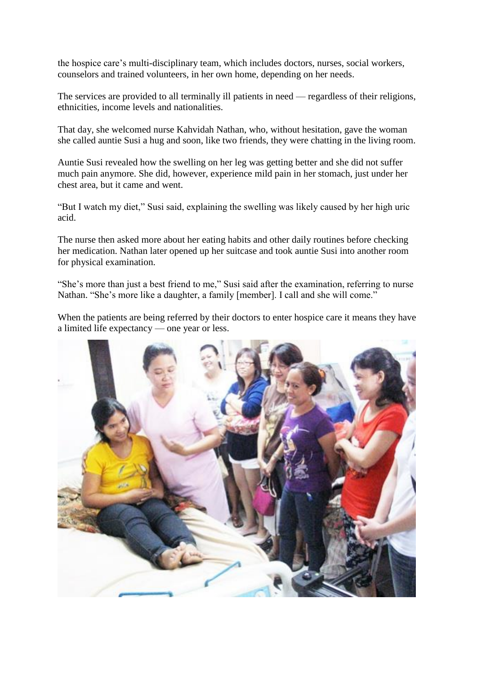the hospice care's multi-disciplinary team, which includes doctors, nurses, social workers, counselors and trained volunteers, in her own home, depending on her needs.

The services are provided to all terminally ill patients in need — regardless of their religions, ethnicities, income levels and nationalities.

That day, she welcomed nurse Kahvidah Nathan, who, without hesitation, gave the woman she called auntie Susi a hug and soon, like two friends, they were chatting in the living room.

Auntie Susi revealed how the swelling on her leg was getting better and she did not suffer much pain anymore. She did, however, experience mild pain in her stomach, just under her chest area, but it came and went.

"But I watch my diet," Susi said, explaining the swelling was likely caused by her high uric acid.

The nurse then asked more about her eating habits and other daily routines before checking her medication. Nathan later opened up her suitcase and took auntie Susi into another room for physical examination.

"She's more than just a best friend to me," Susi said after the examination, referring to nurse Nathan. "She's more like a daughter, a family [member]. I call and she will come."

When the patients are being referred by their doctors to enter hospice care it means they have a limited life expectancy — one year or less.

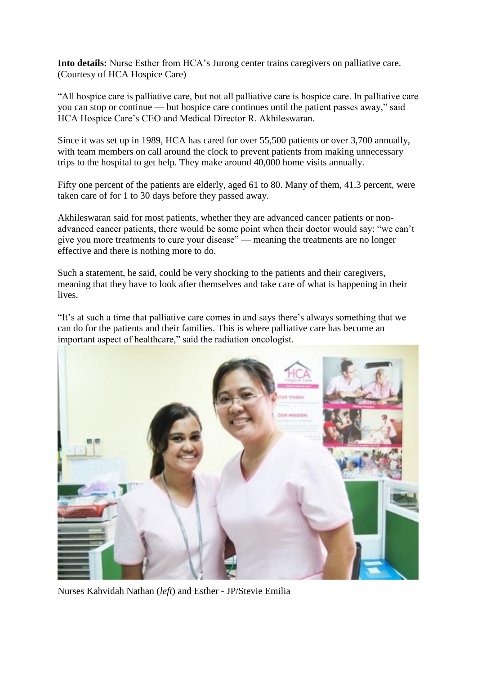**Into details:** Nurse Esther from HCA's Jurong center trains caregivers on palliative care. (Courtesy of HCA Hospice Care)

"All hospice care is palliative care, but not all palliative care is hospice care. In palliative care you can stop or continue — but hospice care continues until the patient passes away," said HCA Hospice Care's CEO and Medical Director R. Akhileswaran.

Since it was set up in 1989, HCA has cared for over 55,500 patients or over 3,700 annually, with team members on call around the clock to prevent patients from making unnecessary trips to the hospital to get help. They make around 40,000 home visits annually.

Fifty one percent of the patients are elderly, aged 61 to 80. Many of them, 41.3 percent, were taken care of for 1 to 30 days before they passed away.

Akhileswaran said for most patients, whether they are advanced cancer patients or nonadvanced cancer patients, there would be some point when their doctor would say: "we can't give you more treatments to cure your disease" — meaning the treatments are no longer effective and there is nothing more to do.

Such a statement, he said, could be very shocking to the patients and their caregivers, meaning that they have to look after themselves and take care of what is happening in their lives.

"It's at such a time that palliative care comes in and says there's always something that we can do for the patients and their families. This is where palliative care has become an important aspect of healthcare," said the radiation oncologist.



Nurses Kahvidah Nathan (*left*) and Esther - JP/Stevie Emilia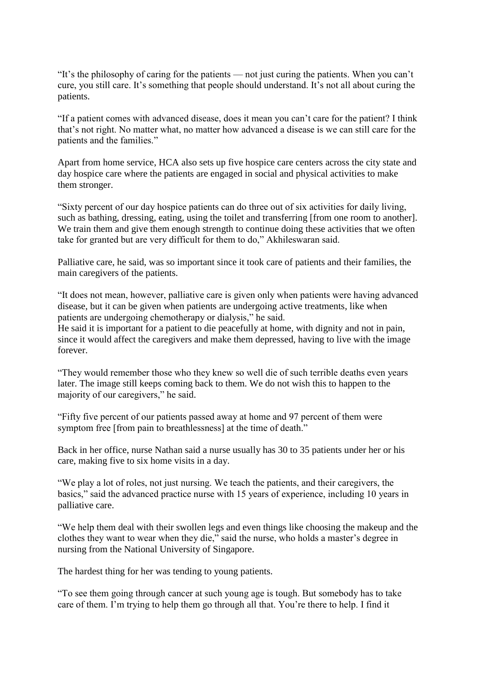"It's the philosophy of caring for the patients — not just curing the patients. When you can't cure, you still care. It's something that people should understand. It's not all about curing the patients.

"If a patient comes with advanced disease, does it mean you can't care for the patient? I think that's not right. No matter what, no matter how advanced a disease is we can still care for the patients and the families."

Apart from home service, HCA also sets up five hospice care centers across the city state and day hospice care where the patients are engaged in social and physical activities to make them stronger.

"Sixty percent of our day hospice patients can do three out of six activities for daily living, such as bathing, dressing, eating, using the toilet and transferring [from one room to another]. We train them and give them enough strength to continue doing these activities that we often take for granted but are very difficult for them to do," Akhileswaran said.

Palliative care, he said, was so important since it took care of patients and their families, the main caregivers of the patients.

"It does not mean, however, palliative care is given only when patients were having advanced disease, but it can be given when patients are undergoing active treatments, like when patients are undergoing chemotherapy or dialysis," he said.

He said it is important for a patient to die peacefully at home, with dignity and not in pain, since it would affect the caregivers and make them depressed, having to live with the image forever.

"They would remember those who they knew so well die of such terrible deaths even years later. The image still keeps coming back to them. We do not wish this to happen to the majority of our caregivers," he said.

"Fifty five percent of our patients passed away at home and 97 percent of them were symptom free [from pain to breathlessness] at the time of death."

Back in her office, nurse Nathan said a nurse usually has 30 to 35 patients under her or his care, making five to six home visits in a day.

"We play a lot of roles, not just nursing. We teach the patients, and their caregivers, the basics," said the advanced practice nurse with 15 years of experience, including 10 years in palliative care.

"We help them deal with their swollen legs and even things like choosing the makeup and the clothes they want to wear when they die," said the nurse, who holds a master's degree in nursing from the National University of Singapore.

The hardest thing for her was tending to young patients.

"To see them going through cancer at such young age is tough. But somebody has to take care of them. I'm trying to help them go through all that. You're there to help. I find it